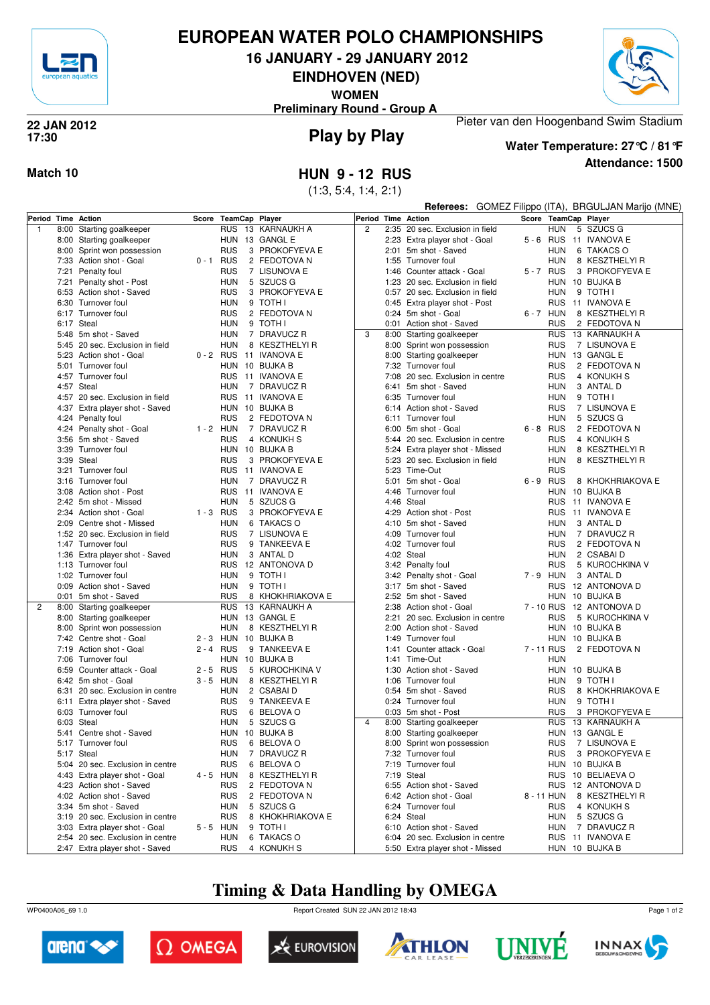

# **EUROPEAN WATER POLO CHAMPIONSHIPS**

**16 JANUARY - 29 JANUARY 2012**

**EINDHOVEN (NED)**

**WOMEN**





## **Play by Play 22 JAN 2012 17:30**

**Attendance: 1500 Water Temperature: 27°C / 81°F**

Pieter van den Hoogenband Swim Stadium

**Match 10 HUN 9 - 12 RUS**

(1:3, 5:4, 1:4, 2:1)

|              |      |                                  |             |                       |  |                        |                    |      | GOMEZ Filippo (ITA), BRGULJAN Marijo (MNE)<br>Referees: |             |             |  |                      |  |
|--------------|------|----------------------------------|-------------|-----------------------|--|------------------------|--------------------|------|---------------------------------------------------------|-------------|-------------|--|----------------------|--|
|              |      | Period Time Action               | Score       | <b>TeamCap Player</b> |  |                        | Period Time Action |      |                                                         |             |             |  | Score TeamCap Player |  |
| $\mathbf{1}$ | 8:00 | Starting goalkeeper              |             | <b>RUS</b>            |  | 13 KARNAUKH A          | $\overline{2}$     |      | 2:35 20 sec. Exclusion in field                         |             | <b>HUN</b>  |  | 5 SZUCS G            |  |
|              |      | 8:00 Starting goalkeeper         |             |                       |  | HUN 13 GANGL E         |                    |      | 2:23 Extra player shot - Goal                           |             | $5 - 6$ RUS |  | 11 IVANOVA E         |  |
|              |      | 8:00 Sprint won possession       |             | <b>RUS</b>            |  | 3 PROKOFYEVA E         |                    |      | 2:01 5m shot - Saved                                    |             | HUN         |  | 6 TAKACS O           |  |
|              |      | 7:33 Action shot - Goal          | 0-1 RUS     |                       |  | 2 FEDOTOVA N           |                    |      | 1:55 Turnover foul                                      |             | HUN         |  | 8 KESZTHELYI R       |  |
|              |      | 7:21 Penalty foul                |             | <b>RUS</b>            |  | 7 LISUNOVA E           |                    | 1:46 | Counter attack - Goal                                   |             | 5-7 RUS     |  | 3 PROKOFYEVA E       |  |
|              |      | 7:21 Penalty shot - Post         |             | <b>HUN</b>            |  | 5 SZUCS G              |                    | 1:23 | 20 sec. Exclusion in field                              |             | HUN         |  | 10 BUJKA B           |  |
|              |      | 6:53 Action shot - Saved         |             | <b>RUS</b>            |  | 3 PROKOFYEVA E         |                    |      | 0:57 20 sec. Exclusion in field                         |             | <b>HUN</b>  |  | 9 TOTH I             |  |
|              |      | 6:30 Turnover foul               |             | HUN                   |  | 9 TOTH I               |                    |      | 0:45 Extra player shot - Post                           |             | <b>RUS</b>  |  | 11 IVANOVA E         |  |
|              |      | 6:17 Turnover foul               |             | <b>RUS</b>            |  | 2 FEDOTOVA N           |                    |      | 0:24 5m shot - Goal                                     |             | 6-7 HUN     |  | 8 KESZTHELYI R       |  |
|              |      | 6:17 Steal                       |             | <b>HUN</b>            |  | 9 TOTH I               |                    |      | 0:01 Action shot - Saved                                |             | <b>RUS</b>  |  | 2 FEDOTOVA N         |  |
|              |      | 5:48 5m shot - Saved             |             | HUN                   |  | 7 DRAVUCZ R            | 3                  |      | 8:00 Starting goalkeeper                                |             | <b>RUS</b>  |  | 13 KARNAUKH A        |  |
|              |      | 5:45 20 sec. Exclusion in field  |             | <b>HUN</b>            |  | 8 KESZTHELYI R         |                    |      | 8:00 Sprint won possession                              |             | <b>RUS</b>  |  | 7 LISUNOVA E         |  |
|              |      | 5:23 Action shot - Goal          |             |                       |  | 0 - 2 RUS 11 IVANOVA E |                    |      | 8:00 Starting goalkeeper                                |             | <b>HUN</b>  |  | 13 GANGL E           |  |
|              |      | 5:01 Turnover foul               |             |                       |  | HUN 10 BUJKA B         |                    |      | 7:32 Turnover foul                                      |             | <b>RUS</b>  |  | 2 FEDOTOVA N         |  |
|              |      | 4:57 Turnover foul               |             | <b>RUS</b>            |  | 11 IVANOVA E           |                    |      | 7:08 20 sec. Exclusion in centre                        |             | <b>RUS</b>  |  | 4 KONUKH S           |  |
|              |      | 4:57 Steal                       |             | <b>HUN</b>            |  | 7 DRAVUCZ R            |                    |      | 6:41 5m shot - Saved                                    |             | <b>HUN</b>  |  | 3 ANTAL D            |  |
|              |      | 4:57 20 sec. Exclusion in field  |             | <b>RUS</b>            |  | 11 IVANOVA E           |                    |      | 6:35 Turnover foul                                      |             | <b>HUN</b>  |  | 9 TOTH I             |  |
|              |      | 4:37 Extra player shot - Saved   |             |                       |  | HUN 10 BUJKA B         |                    |      | 6:14 Action shot - Saved                                |             | RUS         |  | 7 LISUNOVA E         |  |
|              |      | 4:24 Penalty foul                |             | <b>RUS</b>            |  | 2 FEDOTOVA N           |                    |      | 6:11 Turnover foul                                      |             | HUN         |  | 5 SZUCS G            |  |
|              |      | 4:24 Penalty shot - Goal         | $1 - 2$ HUN |                       |  | 7 DRAVUCZ R            |                    |      | 6:00 5m shot - Goal                                     | $6 - 8$ RUS |             |  | 2 FEDOTOVA N         |  |
|              |      | 3:56 5m shot - Saved             |             | <b>RUS</b>            |  | 4 KONUKH S             |                    |      | 5:44 20 sec. Exclusion in centre                        |             | <b>RUS</b>  |  | 4 KONUKH S           |  |
|              |      | 3:39 Turnover foul               |             |                       |  | HUN 10 BUJKA B         |                    |      | 5:24 Extra player shot - Missed                         |             | <b>HUN</b>  |  | 8 KESZTHELYI R       |  |
|              |      | 3:39 Steal                       |             | <b>RUS</b>            |  | 3 PROKOFYEVA E         |                    |      | 5:23 20 sec. Exclusion in field                         |             | <b>HUN</b>  |  | 8 KESZTHELYI R       |  |
|              |      | 3:21 Turnover foul               |             | <b>RUS</b>            |  | 11 IVANOVA E           |                    |      | 5:23 Time-Out                                           |             | <b>RUS</b>  |  |                      |  |
|              |      | 3:16 Turnover foul               |             | <b>HUN</b>            |  | 7 DRAVUCZ R            |                    |      | 5:01 5m shot - Goal                                     | 6-9 RUS     |             |  | 8 KHOKHRIAKOVA E     |  |
|              |      | 3:08 Action shot - Post          |             | <b>RUS</b>            |  | 11 IVANOVA E           |                    |      | 4:46 Turnover foul                                      |             | HUN         |  | 10 BUJKA B           |  |
|              |      | 2:42 5m shot - Missed            |             | <b>HUN</b>            |  | 5 SZUCS G              |                    |      | 4:46 Steal                                              |             | RUS         |  | 11 IVANOVA E         |  |
|              |      | 2:34 Action shot - Goal          | $1 - 3$ RUS |                       |  | 3 PROKOFYEVA E         |                    |      | 4:29 Action shot - Post                                 |             | <b>RUS</b>  |  | 11 IVANOVA E         |  |
|              |      | 2:09 Centre shot - Missed        |             | <b>HUN</b>            |  | 6 TAKACS O             |                    |      | 4:10 5m shot - Saved                                    |             | <b>HUN</b>  |  | 3 ANTAL D            |  |
|              |      | 1:52 20 sec. Exclusion in field  |             | <b>RUS</b>            |  | 7 LISUNOVA E           |                    |      | 4:09 Turnover foul                                      |             | HUN         |  | 7 DRAVUCZ R          |  |
|              |      | 1:47 Turnover foul               |             | <b>RUS</b>            |  | 9 TANKEEVA E           |                    |      | 4:02 Turnover foul                                      |             | <b>RUS</b>  |  | 2 FEDOTOVA N         |  |
|              |      | 1:36 Extra player shot - Saved   |             | <b>HUN</b>            |  | 3 ANTAL D              |                    |      | 4:02 Steal                                              |             | HUN         |  | 2 CSABAI D           |  |
|              |      | 1:13 Turnover foul               |             |                       |  | RUS 12 ANTONOVA D      |                    |      | 3:42 Penalty foul                                       |             | RUS         |  | 5 KUROCHKINA V       |  |
|              |      | 1:02 Turnover foul               |             | HUN                   |  | 9 TOTH I               |                    |      | 3:42 Penalty shot - Goal                                |             | 7-9 HUN     |  | 3 ANTAL D            |  |
|              |      | 0:09 Action shot - Saved         |             | HUN                   |  | 9 TOTH I               |                    |      | 3:17 5m shot - Saved                                    |             | RUS         |  | 12 ANTONOVA D        |  |
|              |      | 0:01 5m shot - Saved             |             | <b>RUS</b>            |  | 8 KHOKHRIAKOVA E       |                    |      | 2:52 5m shot - Saved                                    |             | <b>HUN</b>  |  | 10 BUJKA B           |  |
| 2            | 8:00 | Starting goalkeeper              |             | <b>RUS</b>            |  | 13 KARNAUKH A          |                    |      | 2:38 Action shot - Goal                                 |             | 7 - 10 RUS  |  | 12 ANTONOVA D        |  |
|              |      | 8:00 Starting goalkeeper         |             |                       |  | HUN 13 GANGL E         |                    | 2:21 | 20 sec. Exclusion in centre                             |             | <b>RUS</b>  |  | 5 KUROCHKINA V       |  |
|              |      | 8:00 Sprint won possession       |             | HUN                   |  | 8 KESZTHELYI R         |                    |      | 2:00 Action shot - Saved                                |             |             |  | HUN 10 BUJKA B       |  |
|              |      | 7:42 Centre shot - Goal          |             |                       |  | 2 - 3 HUN 10 BUJKA B   |                    |      | 1:49 Turnover foul                                      |             |             |  | HUN 10 BUJKA B       |  |
|              |      | 7:19 Action shot - Goal          | $2 - 4$ RUS |                       |  | 9 TANKEEVA E           |                    | 1:41 | Counter attack - Goal                                   | 7 - 11 RUS  |             |  | 2 FEDOTOVA N         |  |
|              |      | 7:06 Turnover foul               |             |                       |  | HUN 10 BUJKA B         |                    |      | 1:41 Time-Out                                           |             | <b>HUN</b>  |  |                      |  |
|              | 6:59 | Counter attack - Goal            | $2 - 5$     | <b>RUS</b>            |  | 5 KUROCHKINA V         |                    | 1:30 | Action shot - Saved                                     |             |             |  | HUN 10 BUJKA B       |  |
|              |      | 6:42 5m shot - Goal              | $3 - 5$ HUN |                       |  | 8 KESZTHELYI R         |                    |      | 1:06 Turnover foul                                      |             | <b>HUN</b>  |  | 9 TOTH I             |  |
|              |      | 6:31 20 sec. Exclusion in centre |             | <b>HUN</b>            |  | 2 CSABAI D             |                    |      | 0:54 5m shot - Saved                                    |             | RUS         |  | 8 KHOKHRIAKOVA E     |  |
|              |      | 6:11 Extra player shot - Saved   |             | <b>RUS</b>            |  | 9 TANKEEVA E           |                    |      | 0:24 Turnover foul                                      |             | HUN         |  | 9 TOTH I             |  |
|              |      | 6:03 Turnover foul               |             | <b>RUS</b>            |  | 6 BELOVA O             |                    |      | 0:03 5m shot - Post                                     |             | RUS         |  | 3 PROKOFYEVA E       |  |
|              |      | 6:03 Steal                       |             | HUN                   |  | 5 SZUCS G              | 4                  |      | 8:00 Starting goalkeeper                                |             |             |  | RUS 13 KARNAUKH A    |  |
|              |      | 5:41 Centre shot - Saved         |             |                       |  | HUN 10 BUJKA B         |                    |      | 8:00 Starting goalkeeper                                |             |             |  | HUN 13 GANGL E       |  |
|              |      | 5:17 Turnover foul               |             |                       |  | RUS 6 BELOVA O         |                    |      | 8:00 Sprint won possession                              |             |             |  | RUS 7 LISUNOVA E     |  |
|              |      | 5:17 Steal                       |             | <b>HUN</b>            |  | 7 DRAVUCZ R            |                    |      | 7:32 Turnover foul                                      |             | <b>RUS</b>  |  | 3 PROKOFYEVA E       |  |
|              |      | 5:04 20 sec. Exclusion in centre |             | <b>RUS</b>            |  | 6 BELOVA O             |                    |      | 7:19 Turnover foul                                      |             |             |  | HUN 10 BUJKA B       |  |
|              |      | 4:43 Extra player shot - Goal    | 4 - 5 HUN   |                       |  | 8 KESZTHELYI R         |                    |      | 7:19 Steal                                              |             |             |  | RUS 10 BELIAEVA O    |  |
|              |      | 4:23 Action shot - Saved         |             | RUS                   |  | 2 FEDOTOVA N           |                    |      | 6:55 Action shot - Saved                                |             |             |  | RUS 12 ANTONOVA D    |  |
|              |      | 4:02 Action shot - Saved         |             | <b>RUS</b>            |  | 2 FEDOTOVA N           |                    |      | 6:42 Action shot - Goal                                 |             | 8 - 11 HUN  |  | 8 KESZTHELYI R       |  |
|              |      | 3:34 5m shot - Saved             |             | HUN                   |  | 5 SZUCS G              |                    |      | 6:24 Turnover foul                                      |             | <b>RUS</b>  |  | 4 KONUKH S           |  |
|              |      | 3:19 20 sec. Exclusion in centre |             | <b>RUS</b>            |  | 8 KHOKHRIAKOVA E       |                    |      | 6:24 Steal                                              |             | HUN         |  | 5 SZUCS G            |  |
|              |      | 3:03 Extra player shot - Goal    | 5-5 HUN     |                       |  | 9 TOTH I               |                    |      | 6:10 Action shot - Saved                                |             | HUN         |  | 7 DRAVUCZ R          |  |
|              |      | 2:54 20 sec. Exclusion in centre |             | <b>HUN</b>            |  | 6 TAKACS O             |                    |      | 6:04 20 sec. Exclusion in centre                        |             |             |  | RUS 11 IVANOVA E     |  |
|              |      | 2:47 Extra player shot - Saved   |             | <b>RUS</b>            |  | 4 KONUKH S             |                    |      | 5:50 Extra player shot - Missed                         |             |             |  | HUN 10 BUJKA B       |  |

# **Timing & Data Handling by OMEGA**

WP0400A06\_69 1.0 Report Created SUN 22 JAN 2012 18:43













Page 1 of 2